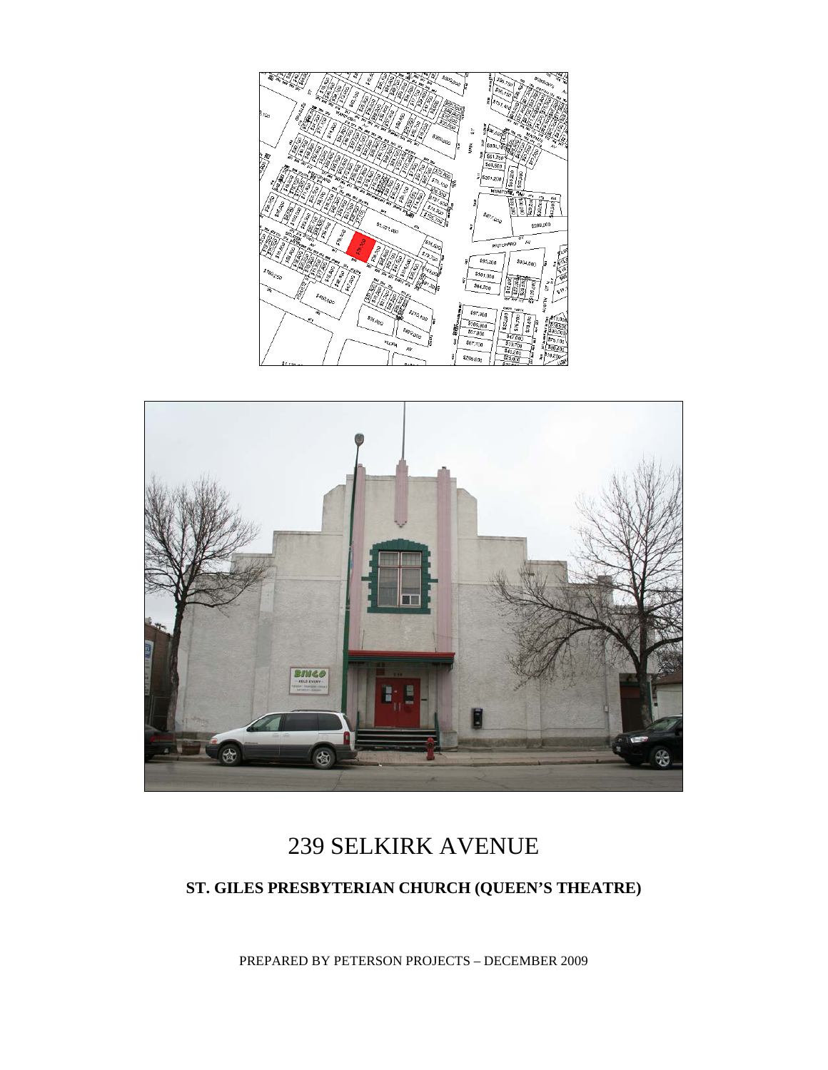



# 239 SELKIRK AVENUE

### **ST. GILES PRESBYTERIAN CHURCH (QUEEN'S THEATRE)**

PREPARED BY PETERSON PROJECTS – DECEMBER 2009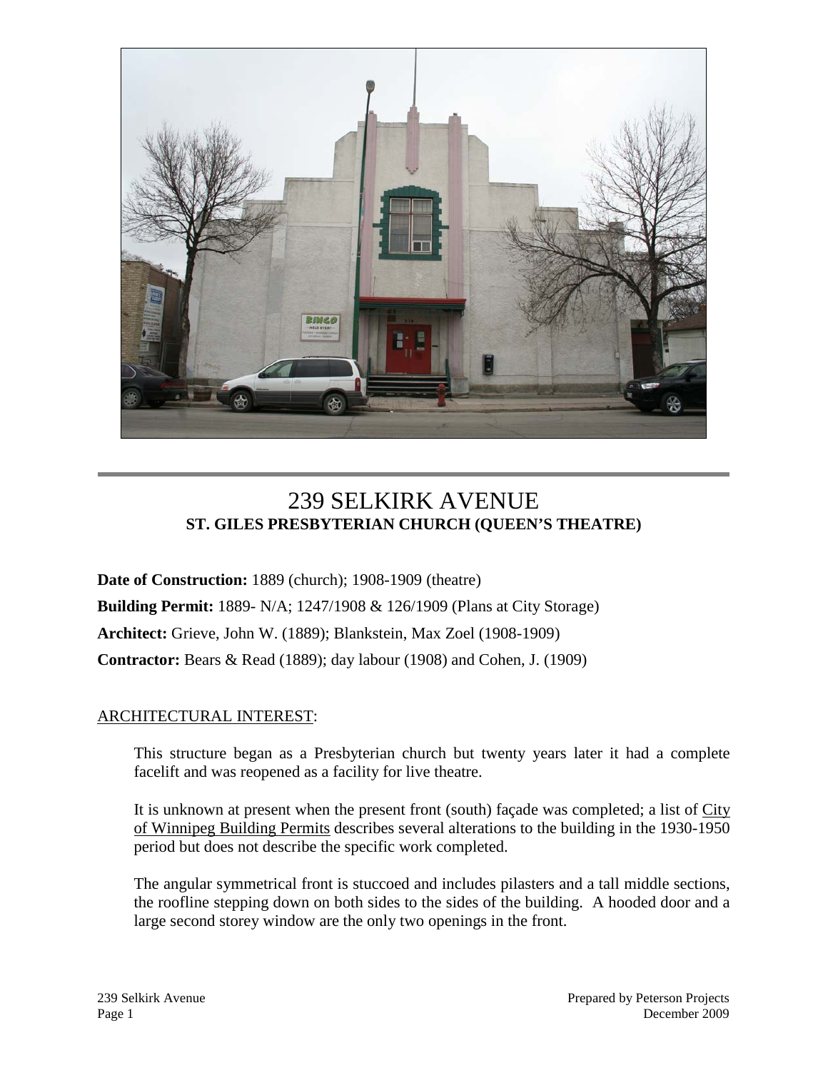

## 239 SELKIRK AVENUE **ST. GILES PRESBYTERIAN CHURCH (QUEEN'S THEATRE)**

**Date of Construction:** 1889 (church); 1908-1909 (theatre) **Building Permit:** 1889- N/A; 1247/1908 & 126/1909 (Plans at City Storage) **Architect:** Grieve, John W. (1889); Blankstein, Max Zoel (1908-1909) **Contractor:** Bears & Read (1889); day labour (1908) and Cohen, J. (1909)

#### ARCHITECTURAL INTEREST:

This structure began as a Presbyterian church but twenty years later it had a complete facelift and was reopened as a facility for live theatre.

It is unknown at present when the present front (south) façade was completed; a list of City of Winnipeg Building Permits describes several alterations to the building in the 1930-1950 period but does not describe the specific work completed.

The angular symmetrical front is stuccoed and includes pilasters and a tall middle sections, the roofline stepping down on both sides to the sides of the building. A hooded door and a large second storey window are the only two openings in the front.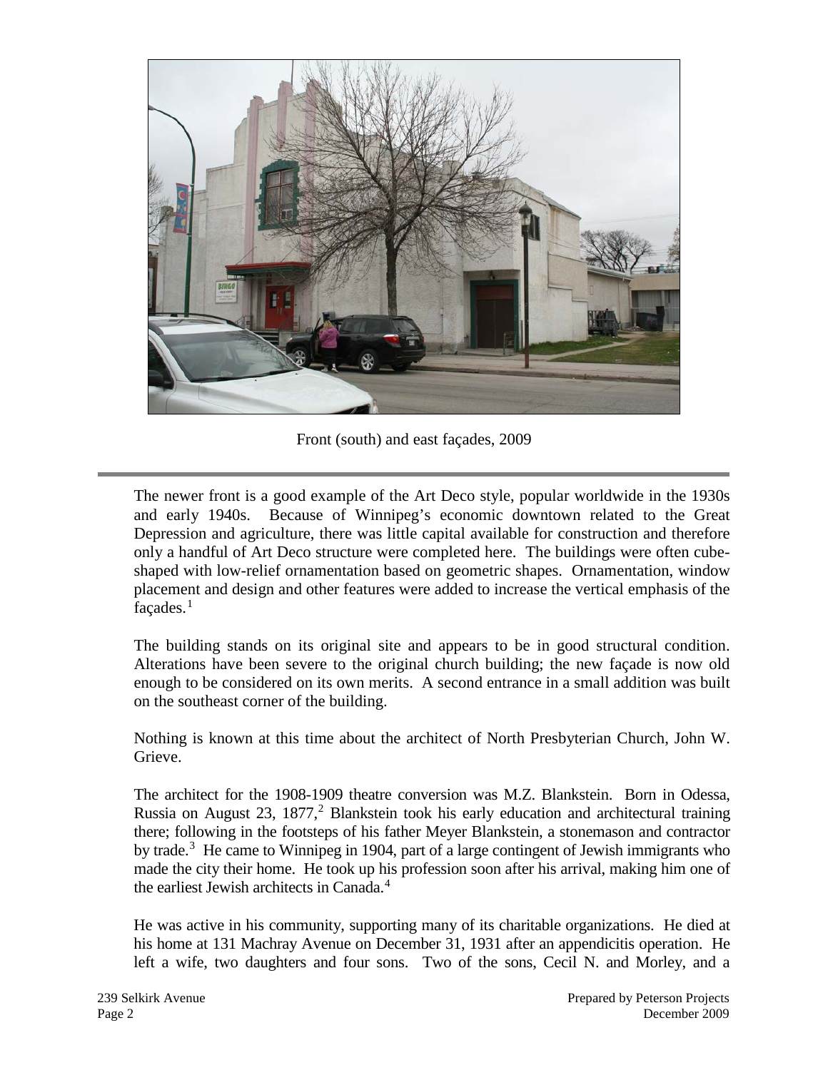

Front (south) and east façades, 2009

The newer front is a good example of the Art Deco style, popular worldwide in the 1930s and early 1940s. Because of Winnipeg's economic downtown related to the Great Depression and agriculture, there was little capital available for construction and therefore only a handful of Art Deco structure were completed here. The buildings were often cubeshaped with low-relief ornamentation based on geometric shapes. Ornamentation, window placement and design and other features were added to increase the vertical emphasis of the  $facades.<sup>1</sup>$  $facades.<sup>1</sup>$  $facades.<sup>1</sup>$ 

The building stands on its original site and appears to be in good structural condition. Alterations have been severe to the original church building; the new façade is now old enough to be considered on its own merits. A second entrance in a small addition was built on the southeast corner of the building.

Nothing is known at this time about the architect of North Presbyterian Church, John W. Grieve.

The architect for the 1908-1909 theatre conversion was M.Z. Blankstein. Born in Odessa, Russia on August [2](#page-6-1)3, 1877,<sup>2</sup> Blankstein took his early education and architectural training there; following in the footsteps of his father Meyer Blankstein, a stonemason and contractor by trade.<sup>[3](#page-6-2)</sup> He came to Winnipeg in 1904, part of a large contingent of Jewish immigrants who made the city their home. He took up his profession soon after his arrival, making him one of the earliest Jewish architects in Canada.<sup>[4](#page-6-3)</sup>

He was active in his community, supporting many of its charitable organizations. He died at his home at 131 Machray Avenue on December 31, 1931 after an appendicitis operation. He left a wife, two daughters and four sons. Two of the sons, Cecil N. and Morley, and a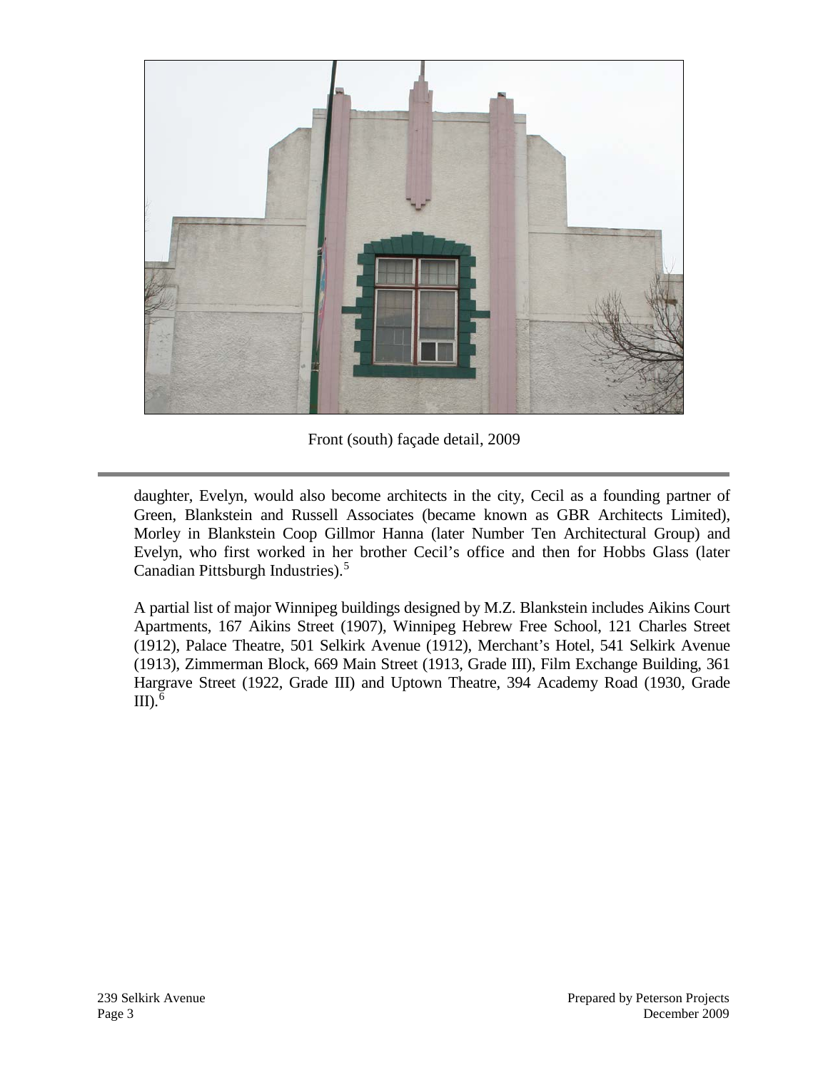

Front (south) façade detail, 2009

daughter, Evelyn, would also become architects in the city, Cecil as a founding partner of Green, Blankstein and Russell Associates (became known as GBR Architects Limited), Morley in Blankstein Coop Gillmor Hanna (later Number Ten Architectural Group) and Evelyn, who first worked in her brother Cecil's office and then for Hobbs Glass (later Canadian Pittsburgh Industries). [5](#page-6-4)

A partial list of major Winnipeg buildings designed by M.Z. Blankstein includes Aikins Court Apartments, 167 Aikins Street (1907), Winnipeg Hebrew Free School, 121 Charles Street (1912), Palace Theatre, 501 Selkirk Avenue (1912), Merchant's Hotel, 541 Selkirk Avenue (1913), Zimmerman Block, 669 Main Street (1913, Grade III), Film Exchange Building, 361 Hargrave Street (1922, Grade III) and Uptown Theatre, 394 Academy Road (1930, Grade III). $^6$  $^6$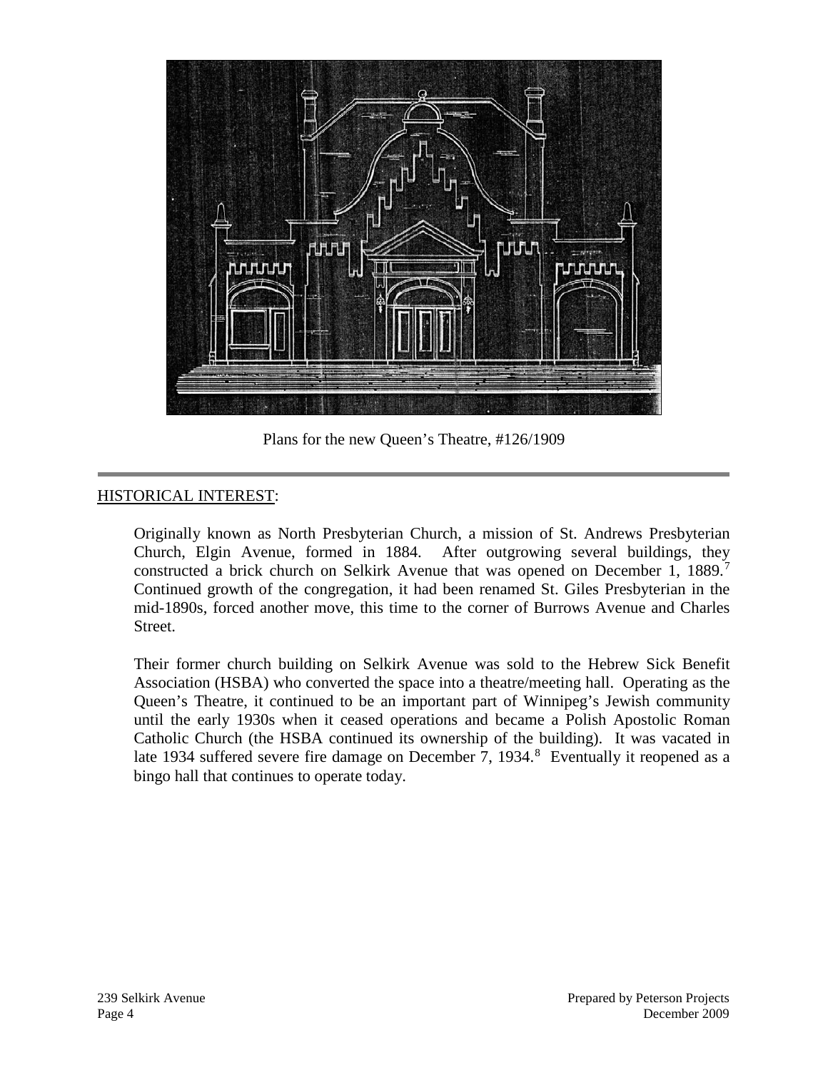

Plans for the new Queen's Theatre, #126/1909

### HISTORICAL INTEREST:

Originally known as North Presbyterian Church, a mission of St. Andrews Presbyterian Church, Elgin Avenue, formed in 1884. After outgrowing several buildings, they constructed a brick church on Selkirk Avenue that was opened on December 1, 1889.<sup>[7](#page-6-6)</sup> Continued growth of the congregation, it had been renamed St. Giles Presbyterian in the mid-1890s, forced another move, this time to the corner of Burrows Avenue and Charles Street.

Their former church building on Selkirk Avenue was sold to the Hebrew Sick Benefit Association (HSBA) who converted the space into a theatre/meeting hall. Operating as the Queen's Theatre, it continued to be an important part of Winnipeg's Jewish community until the early 1930s when it ceased operations and became a Polish Apostolic Roman Catholic Church (the HSBA continued its ownership of the building). It was vacated in late 1934 suffered severe fire damage on December 7, 1934.<sup>[8](#page-6-7)</sup> Eventually it reopened as a bingo hall that continues to operate today.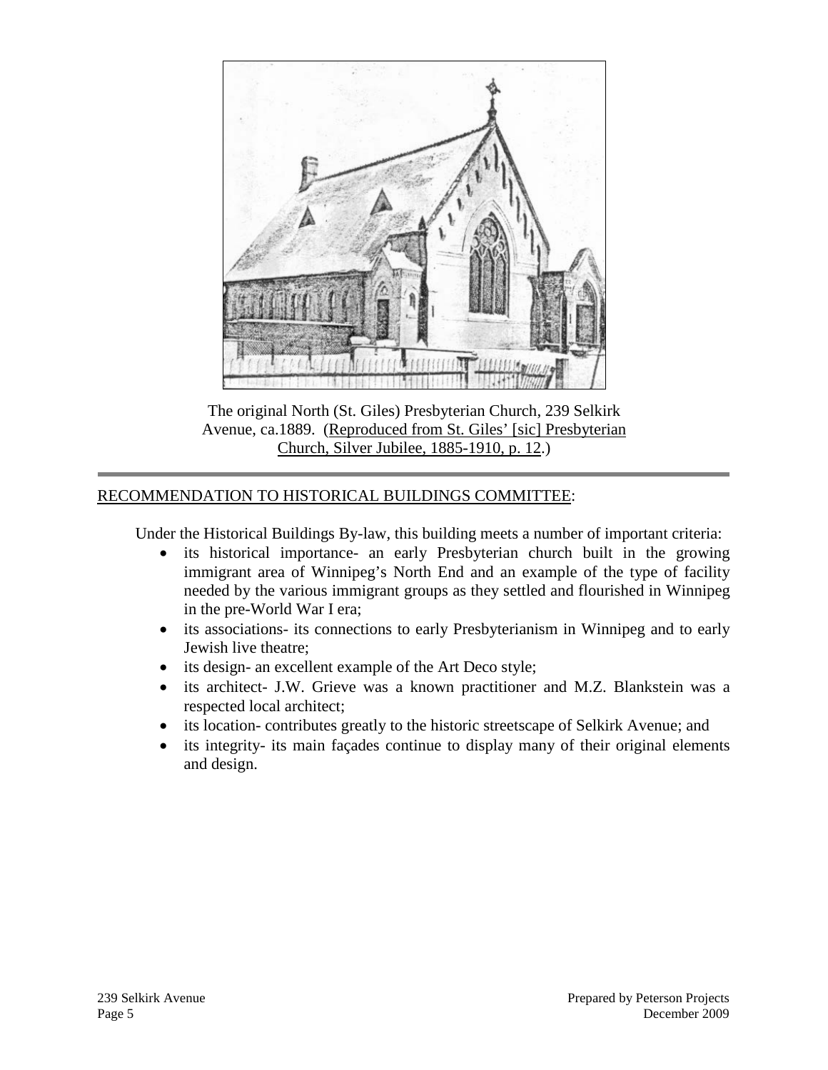

The original North (St. Giles) Presbyterian Church, 239 Selkirk Avenue, ca.1889. (Reproduced from St. Giles' [sic] Presbyterian Church, Silver Jubilee, 1885-1910, p. 12.)

#### RECOMMENDATION TO HISTORICAL BUILDINGS COMMITTEE:

Under the Historical Buildings By-law, this building meets a number of important criteria:

- its historical importance- an early Presbyterian church built in the growing immigrant area of Winnipeg's North End and an example of the type of facility needed by the various immigrant groups as they settled and flourished in Winnipeg in the pre-World War I era;
- its associations- its connections to early Presbyterianism in Winnipeg and to early Jewish live theatre;
- its design- an excellent example of the Art Deco style;
- its architect- J.W. Grieve was a known practitioner and M.Z. Blankstein was a respected local architect;
- its location- contributes greatly to the historic streetscape of Selkirk Avenue; and
- its integrity- its main façades continue to display many of their original elements and design.